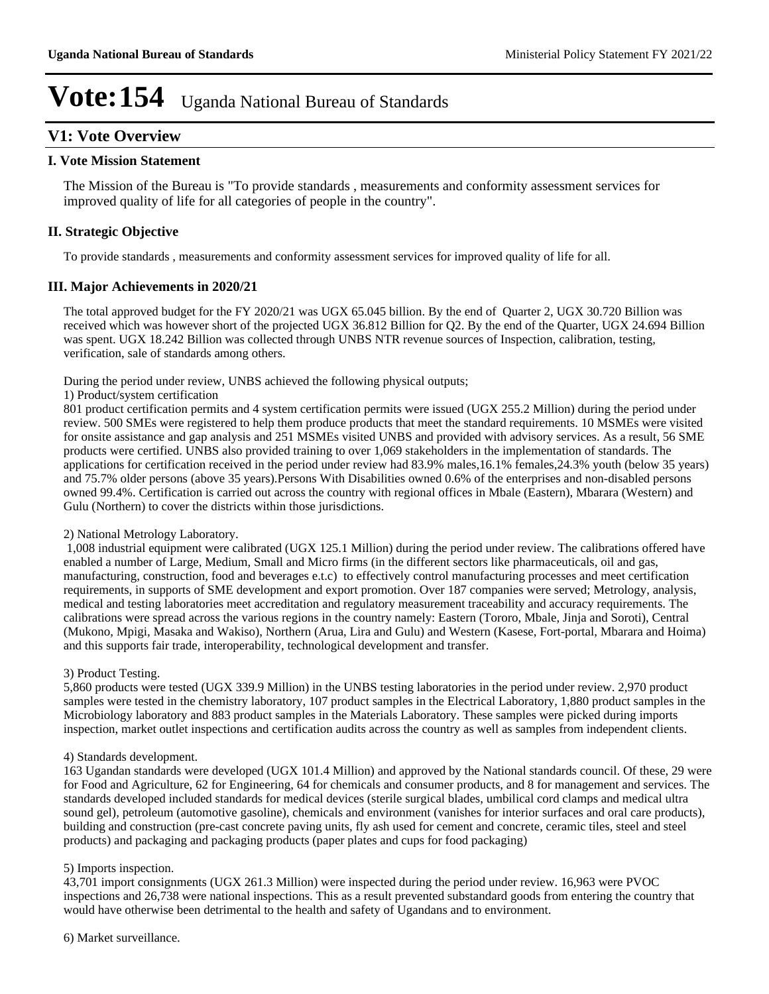### **V1: Vote Overview**

#### **I. Vote Mission Statement**

The Mission of the Bureau is "To provide standards , measurements and conformity assessment services for improved quality of life for all categories of people in the country".

#### **II. Strategic Objective**

To provide standards , measurements and conformity assessment services for improved quality of life for all.

#### **III. Major Achievements in 2020/21**

The total approved budget for the FY 2020/21 was UGX 65.045 billion. By the end of Quarter 2, UGX 30.720 Billion was received which was however short of the projected UGX 36.812 Billion for Q2. By the end of the Quarter, UGX 24.694 Billion was spent. UGX 18.242 Billion was collected through UNBS NTR revenue sources of Inspection, calibration, testing, verification, sale of standards among others.

During the period under review, UNBS achieved the following physical outputs;

1) Product/system certification

801 product certification permits and 4 system certification permits were issued (UGX 255.2 Million) during the period under review. 500 SMEs were registered to help them produce products that meet the standard requirements. 10 MSMEs were visited for onsite assistance and gap analysis and 251 MSMEs visited UNBS and provided with advisory services. As a result, 56 SME products were certified. UNBS also provided training to over 1,069 stakeholders in the implementation of standards. The applications for certification received in the period under review had 83.9% males,16.1% females,24.3% youth (below 35 years) and 75.7% older persons (above 35 years).Persons With Disabilities owned 0.6% of the enterprises and non-disabled persons owned 99.4%. Certification is carried out across the country with regional offices in Mbale (Eastern), Mbarara (Western) and Gulu (Northern) to cover the districts within those jurisdictions.

#### 2) National Metrology Laboratory.

1,008 industrial equipment were calibrated (UGX 125.1 Million) during the period under review. The calibrations offered have enabled a number of Large, Medium, Small and Micro firms (in the different sectors like pharmaceuticals, oil and gas, manufacturing, construction, food and beverages e.t.c) to effectively control manufacturing processes and meet certification requirements, in supports of SME development and export promotion. Over 187 companies were served; Metrology, analysis, medical and testing laboratories meet accreditation and regulatory measurement traceability and accuracy requirements. The calibrations were spread across the various regions in the country namely: Eastern (Tororo, Mbale, Jinja and Soroti), Central (Mukono, Mpigi, Masaka and Wakiso), Northern (Arua, Lira and Gulu) and Western (Kasese, Fort-portal, Mbarara and Hoima) and this supports fair trade, interoperability, technological development and transfer.

#### 3) Product Testing.

5,860 products were tested (UGX 339.9 Million) in the UNBS testing laboratories in the period under review. 2,970 product samples were tested in the chemistry laboratory, 107 product samples in the Electrical Laboratory, 1,880 product samples in the Microbiology laboratory and 883 product samples in the Materials Laboratory. These samples were picked during imports inspection, market outlet inspections and certification audits across the country as well as samples from independent clients.

#### 4) Standards development.

163 Ugandan standards were developed (UGX 101.4 Million) and approved by the National standards council. Of these, 29 were for Food and Agriculture, 62 for Engineering, 64 for chemicals and consumer products, and 8 for management and services. The standards developed included standards for medical devices (sterile surgical blades, umbilical cord clamps and medical ultra sound gel), petroleum (automotive gasoline), chemicals and environment (vanishes for interior surfaces and oral care products), building and construction (pre-cast concrete paving units, fly ash used for cement and concrete, ceramic tiles, steel and steel products) and packaging and packaging products (paper plates and cups for food packaging)

#### 5) Imports inspection.

43,701 import consignments (UGX 261.3 Million) were inspected during the period under review. 16,963 were PVOC inspections and 26,738 were national inspections. This as a result prevented substandard goods from entering the country that would have otherwise been detrimental to the health and safety of Ugandans and to environment.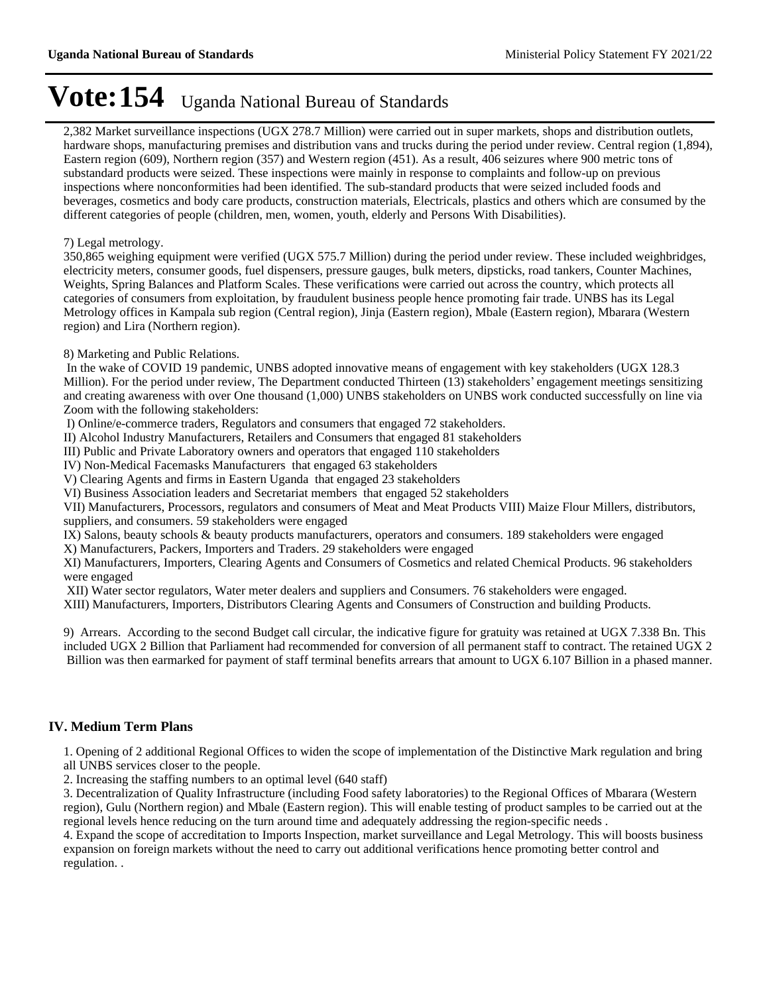2,382 Market surveillance inspections (UGX 278.7 Million) were carried out in super markets, shops and distribution outlets, hardware shops, manufacturing premises and distribution vans and trucks during the period under review. Central region (1,894), Eastern region (609), Northern region (357) and Western region (451). As a result, 406 seizures where 900 metric tons of substandard products were seized. These inspections were mainly in response to complaints and follow-up on previous inspections where nonconformities had been identified. The sub-standard products that were seized included foods and beverages, cosmetics and body care products, construction materials, Electricals, plastics and others which are consumed by the different categories of people (children, men, women, youth, elderly and Persons With Disabilities).

#### 7) Legal metrology.

350,865 weighing equipment were verified (UGX 575.7 Million) during the period under review. These included weighbridges, electricity meters, consumer goods, fuel dispensers, pressure gauges, bulk meters, dipsticks, road tankers, Counter Machines, Weights, Spring Balances and Platform Scales. These verifications were carried out across the country, which protects all categories of consumers from exploitation, by fraudulent business people hence promoting fair trade. UNBS has its Legal Metrology offices in Kampala sub region (Central region), Jinja (Eastern region), Mbale (Eastern region), Mbarara (Western region) and Lira (Northern region).

#### 8) Marketing and Public Relations.

 In the wake of COVID 19 pandemic, UNBS adopted innovative means of engagement with key stakeholders (UGX 128.3 Million). For the period under review, The Department conducted Thirteen  $(13)$  stakeholders' engagement meetings sensitizing and creating awareness with over One thousand (1,000) UNBS stakeholders on UNBS work conducted successfully on line via Zoom with the following stakeholders:

I) Online/e-commerce traders, Regulators and consumers that engaged 72 stakeholders.

II) Alcohol Industry Manufacturers, Retailers and Consumers that engaged 81 stakeholders

III) Public and Private Laboratory owners and operators that engaged 110 stakeholders

IV) Non-Medical Facemasks Manufacturers that engaged 63 stakeholders

V) Clearing Agents and firms in Eastern Uganda that engaged 23 stakeholders

VI) Business Association leaders and Secretariat members that engaged 52 stakeholders

VII) Manufacturers, Processors, regulators and consumers of Meat and Meat Products VIII) Maize Flour Millers, distributors, suppliers, and consumers. 59 stakeholders were engaged

IX) Salons, beauty schools & beauty products manufacturers, operators and consumers. 189 stakeholders were engaged

X) Manufacturers, Packers, Importers and Traders. 29 stakeholders were engaged

XI) Manufacturers, Importers, Clearing Agents and Consumers of Cosmetics and related Chemical Products. 96 stakeholders were engaged

XII) Water sector regulators, Water meter dealers and suppliers and Consumers. 76 stakeholders were engaged.

XIII) Manufacturers, Importers, Distributors Clearing Agents and Consumers of Construction and building Products.

9) Arrears. According to the second Budget call circular, the indicative figure for gratuity was retained at UGX 7.338 Bn. This included UGX 2 Billion that Parliament had recommended for conversion of all permanent staff to contract. The retained UGX 2 Billion was then earmarked for payment of staff terminal benefits arrears that amount to UGX 6.107 Billion in a phased manner.

#### **IV. Medium Term Plans**

1. Opening of 2 additional Regional Offices to widen the scope of implementation of the Distinctive Mark regulation and bring all UNBS services closer to the people.

2. Increasing the staffing numbers to an optimal level (640 staff)

3. Decentralization of Quality Infrastructure (including Food safety laboratories) to the Regional Offices of Mbarara (Western region), Gulu (Northern region) and Mbale (Eastern region). This will enable testing of product samples to be carried out at the regional levels hence reducing on the turn around time and adequately addressing the region-specific needs .

4. Expand the scope of accreditation to Imports Inspection, market surveillance and Legal Metrology. This will boosts business expansion on foreign markets without the need to carry out additional verifications hence promoting better control and regulation. .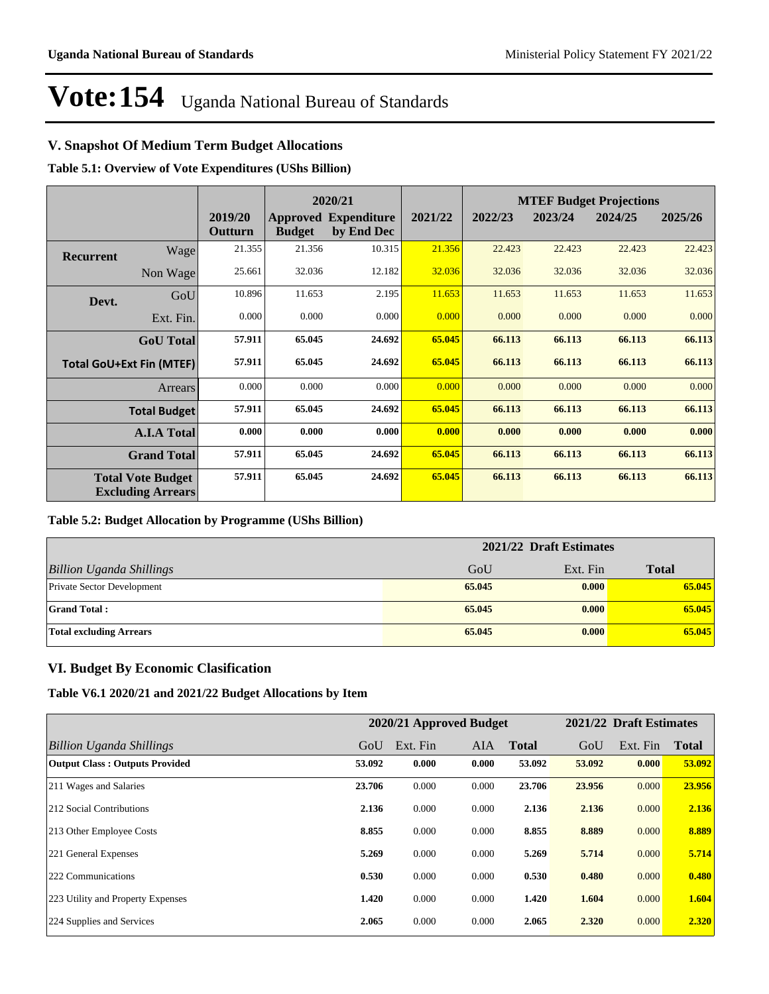### **V. Snapshot Of Medium Term Budget Allocations**

**Table 5.1: Overview of Vote Expenditures (UShs Billion)**

|           |                                                      |                    |               | 2020/21                                   |         | <b>MTEF Budget Projections</b> |         |         |         |  |
|-----------|------------------------------------------------------|--------------------|---------------|-------------------------------------------|---------|--------------------------------|---------|---------|---------|--|
|           |                                                      | 2019/20<br>Outturn | <b>Budget</b> | <b>Approved Expenditure</b><br>by End Dec | 2021/22 | 2022/23                        | 2023/24 | 2024/25 | 2025/26 |  |
| Recurrent | Wage                                                 | 21.355             | 21.356        | 10.315                                    | 21.356  | 22.423                         | 22.423  | 22.423  | 22.423  |  |
|           | Non Wage                                             | 25.661             | 32.036        | 12.182                                    | 32.036  | 32.036                         | 32.036  | 32.036  | 32.036  |  |
| Devt.     | GoU                                                  | 10.896             | 11.653        | 2.195                                     | 11.653  | 11.653                         | 11.653  | 11.653  | 11.653  |  |
|           | Ext. Fin.                                            | 0.000              | 0.000         | 0.000                                     | 0.000   | 0.000                          | 0.000   | 0.000   | 0.000   |  |
|           | <b>GoU</b> Total                                     | 57.911             | 65.045        | 24.692                                    | 65.045  | 66.113                         | 66.113  | 66.113  | 66.113  |  |
|           | <b>Total GoU+Ext Fin (MTEF)</b>                      | 57.911             | 65.045        | 24.692                                    | 65.045  | 66.113                         | 66.113  | 66.113  | 66.113  |  |
|           | <b>Arrears</b>                                       | 0.000              | 0.000         | 0.000                                     | 0.000   | 0.000                          | 0.000   | 0.000   | 0.000   |  |
|           | <b>Total Budget</b>                                  | 57.911             | 65.045        | 24.692                                    | 65.045  | 66.113                         | 66.113  | 66.113  | 66.113  |  |
|           | <b>A.I.A Total</b>                                   | 0.000              | 0.000         | 0.000                                     | 0.000   | 0.000                          | 0.000   | 0.000   | 0.000   |  |
|           | <b>Grand Total</b>                                   | 57.911             | 65.045        | 24.692                                    | 65.045  | 66.113                         | 66.113  | 66.113  | 66.113  |  |
|           | <b>Total Vote Budget</b><br><b>Excluding Arrears</b> | 57.911             | 65.045        | 24.692                                    | 65.045  | 66.113                         | 66.113  | 66.113  | 66.113  |  |

#### **Table 5.2: Budget Allocation by Programme (UShs Billion)**

|                                   | 2021/22 Draft Estimates |          |              |  |  |
|-----------------------------------|-------------------------|----------|--------------|--|--|
| <b>Billion Uganda Shillings</b>   | GoU                     | Ext. Fin | <b>Total</b> |  |  |
| <b>Private Sector Development</b> | 65.045                  | 0.000    | 65.045       |  |  |
| <b>Grand Total:</b>               | 65.045                  | 0.000    | 65.045       |  |  |
| <b>Total excluding Arrears</b>    | 65.045                  | 0.000    | 65.045       |  |  |

#### **VI. Budget By Economic Clasification**

**Table V6.1 2020/21 and 2021/22 Budget Allocations by Item**

|                                       |        | 2020/21 Approved Budget |            |              |        | 2021/22 Draft Estimates |              |
|---------------------------------------|--------|-------------------------|------------|--------------|--------|-------------------------|--------------|
| Billion Uganda Shillings              | GoU    | Ext. Fin                | <b>AIA</b> | <b>Total</b> | GoU    | Ext. Fin                | <b>Total</b> |
| <b>Output Class: Outputs Provided</b> | 53.092 | 0.000                   | 0.000      | 53.092       | 53.092 | 0.000                   | 53.092       |
| 211 Wages and Salaries                | 23.706 | 0.000                   | 0.000      | 23.706       | 23.956 | 0.000                   | 23.956       |
| 212 Social Contributions              | 2.136  | 0.000                   | 0.000      | 2.136        | 2.136  | 0.000                   | 2.136        |
| 213 Other Employee Costs              | 8.855  | 0.000                   | 0.000      | 8.855        | 8.889  | 0.000                   | 8.889        |
| 221 General Expenses                  | 5.269  | 0.000                   | 0.000      | 5.269        | 5.714  | 0.000                   | 5.714        |
| 222 Communications                    | 0.530  | 0.000                   | 0.000      | 0.530        | 0.480  | 0.000                   | 0.480        |
| 223 Utility and Property Expenses     | 1.420  | 0.000                   | 0.000      | 1.420        | 1.604  | 0.000                   | 1.604        |
| 224 Supplies and Services             | 2.065  | 0.000                   | 0.000      | 2.065        | 2.320  | 0.000                   | 2.320        |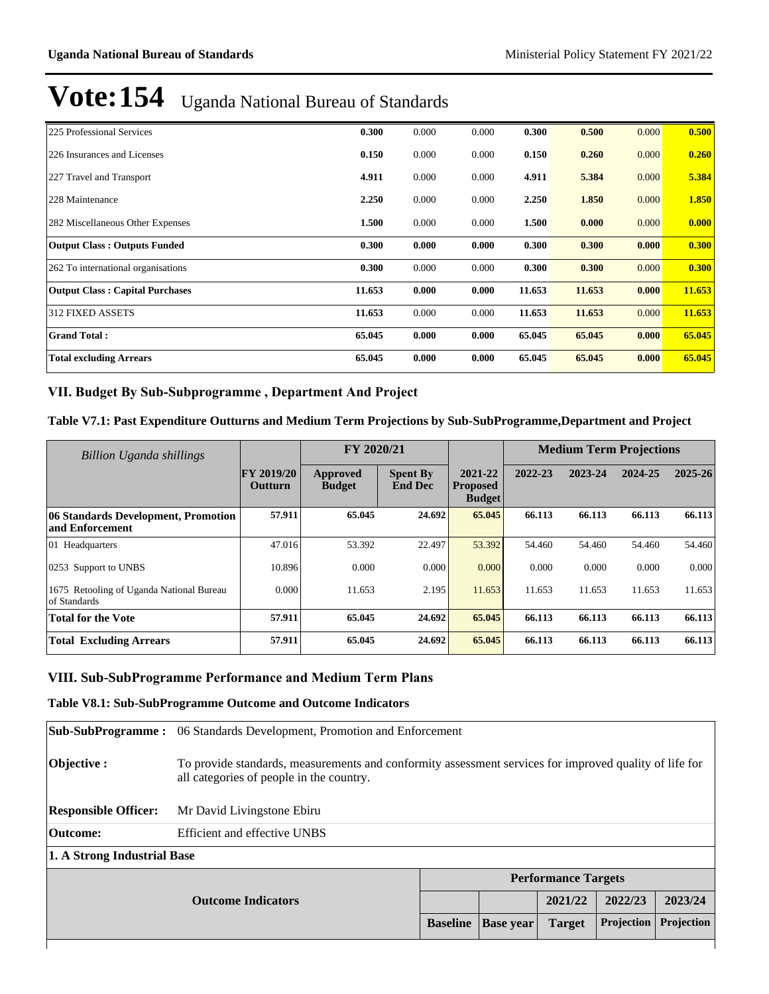| 225 Professional Services              | 0.300  | 0.000 | 0.000 | 0.300  | 0.500  | 0.000 | 0.500  |
|----------------------------------------|--------|-------|-------|--------|--------|-------|--------|
| 226 Insurances and Licenses            | 0.150  | 0.000 | 0.000 | 0.150  | 0.260  | 0.000 | 0.260  |
| 227 Travel and Transport               | 4.911  | 0.000 | 0.000 | 4.911  | 5.384  | 0.000 | 5.384  |
| 228 Maintenance                        | 2.250  | 0.000 | 0.000 | 2.250  | 1.850  | 0.000 | 1.850  |
| 282 Miscellaneous Other Expenses       | 1.500  | 0.000 | 0.000 | 1.500  | 0.000  | 0.000 | 0.000  |
| <b>Output Class: Outputs Funded</b>    | 0.300  | 0.000 | 0.000 | 0.300  | 0.300  | 0.000 | 0.300  |
| 262 To international organisations     | 0.300  | 0.000 | 0.000 | 0.300  | 0.300  | 0.000 | 0.300  |
| <b>Output Class: Capital Purchases</b> | 11.653 | 0.000 | 0.000 | 11.653 | 11.653 | 0.000 | 11.653 |
| <b>312 FIXED ASSETS</b>                | 11.653 | 0.000 | 0.000 | 11.653 | 11.653 | 0.000 | 11.653 |
| <b>Grand Total:</b>                    | 65.045 | 0.000 | 0.000 | 65.045 | 65.045 | 0.000 | 65.045 |
| <b>Total excluding Arrears</b>         | 65.045 | 0.000 | 0.000 | 65.045 | 65.045 | 0.000 | 65.045 |

#### VII. Budget By Sub-Subprogramme, Department And Project

#### **Table V7.1: Past Expenditure Outturns and Medium Term Projections by Sub-SubProgramme,Department and Project**

| <b>Billion Uganda shillings</b>                          |                              | FY 2020/21                |                                   |                                             | <b>Medium Term Projections</b> |         |         |         |
|----------------------------------------------------------|------------------------------|---------------------------|-----------------------------------|---------------------------------------------|--------------------------------|---------|---------|---------|
|                                                          | <b>FY 2019/20</b><br>Outturn | Approved<br><b>Budget</b> | <b>Spent By</b><br><b>End Dec</b> | 2021-22<br><b>Proposed</b><br><b>Budget</b> | 2022-23                        | 2023-24 | 2024-25 | 2025-26 |
| 06 Standards Development, Promotion<br>and Enforcement   | 57.911                       | 65.045                    | 24.692                            | 65,045                                      | 66.113                         | 66.113  | 66.113  | 66.113  |
| 01 Headquarters                                          | 47.016                       | 53.392                    | 22.497                            | 53.392                                      | 54.460                         | 54.460  | 54.460  | 54.460  |
| 0253 Support to UNBS                                     | 10.896                       | 0.000                     | 0.000                             | 0.000                                       | 0.000                          | 0.000   | 0.000   | 0.000   |
| 1675 Retooling of Uganda National Bureau<br>of Standards | 0.000                        | 11.653                    | 2.195                             | 11.653                                      | 11.653                         | 11.653  | 11.653  | 11.653  |
| <b>Total for the Vote</b>                                | 57.911                       | 65.045                    | 24.692                            | 65.045                                      | 66.113                         | 66.113  | 66.113  | 66.113  |
| <b>Total Excluding Arrears</b>                           | 57.911                       | 65.045                    | 24.692                            | 65.045                                      | 66.113                         | 66.113  | 66.113  | 66.113  |

#### **VIII. Sub-SubProgramme Performance and Medium Term Plans**

#### **Table V8.1: Sub-SubProgramme Outcome and Outcome Indicators**

| <b>Sub-SubProgramme:</b>    | 06 Standards Development, Promotion and Enforcement                                                                                                |                            |               |            |            |         |  |  |
|-----------------------------|----------------------------------------------------------------------------------------------------------------------------------------------------|----------------------------|---------------|------------|------------|---------|--|--|
| $\mathbf{Objective:}$       | To provide standards, measurements and conformity assessment services for improved quality of life for<br>all categories of people in the country. |                            |               |            |            |         |  |  |
| <b>Responsible Officer:</b> | Mr David Livingstone Ebiru                                                                                                                         |                            |               |            |            |         |  |  |
| <b>Outcome:</b>             | <b>Efficient and effective UNBS</b>                                                                                                                |                            |               |            |            |         |  |  |
| 1. A Strong Industrial Base |                                                                                                                                                    |                            |               |            |            |         |  |  |
|                             |                                                                                                                                                    | <b>Performance Targets</b> |               |            |            |         |  |  |
|                             | <b>Outcome Indicators</b>                                                                                                                          |                            |               | 2021/22    | 2022/23    | 2023/24 |  |  |
|                             | <b>Baseline</b>                                                                                                                                    | <b>Base year</b>           | <b>Target</b> | Projection | Projection |         |  |  |
|                             |                                                                                                                                                    |                            |               |            |            |         |  |  |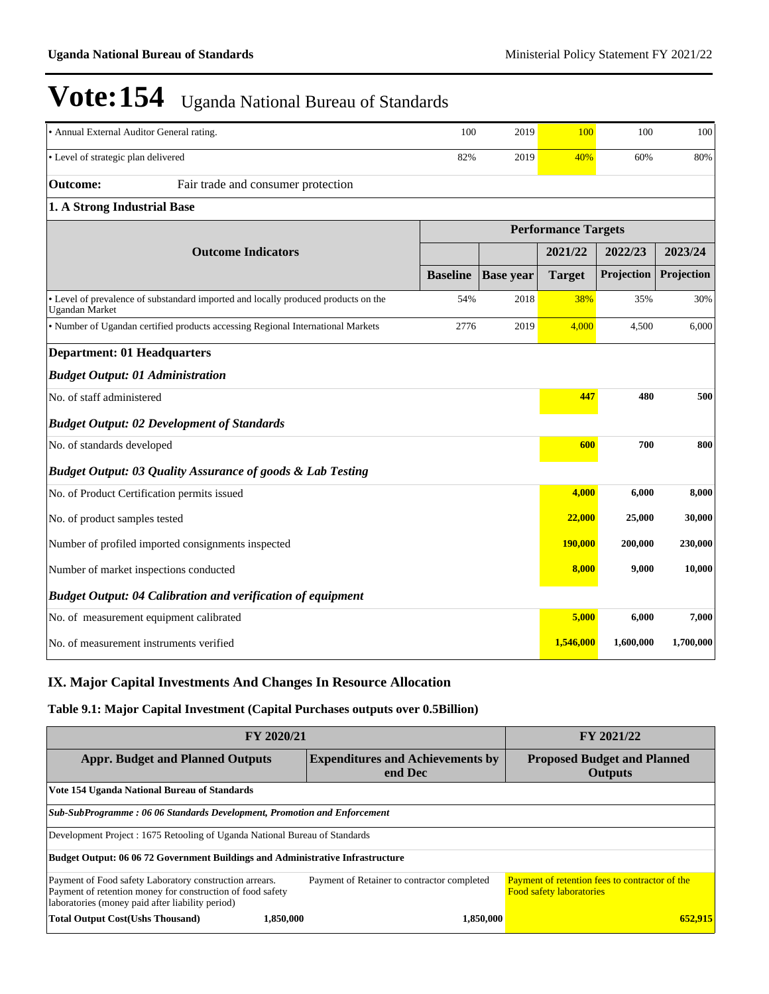| • Annual External Auditor General rating.                                                                   | 100             | 2019             | 100                        | 100        | 100        |
|-------------------------------------------------------------------------------------------------------------|-----------------|------------------|----------------------------|------------|------------|
| • Level of strategic plan delivered                                                                         | 82%             | 2019             | 40%                        | 60%        | 80%        |
| Fair trade and consumer protection<br><b>Outcome:</b>                                                       |                 |                  |                            |            |            |
| 1. A Strong Industrial Base                                                                                 |                 |                  |                            |            |            |
|                                                                                                             |                 |                  | <b>Performance Targets</b> |            |            |
| <b>Outcome Indicators</b>                                                                                   |                 |                  | 2021/22                    | 2022/23    | 2023/24    |
|                                                                                                             | <b>Baseline</b> | <b>Base</b> year | <b>Target</b>              | Projection | Projection |
| • Level of prevalence of substandard imported and locally produced products on the<br><b>Ugandan Market</b> | 54%             | 2018             | 38%                        | 35%        | 30%        |
| • Number of Ugandan certified products accessing Regional International Markets                             | 2776            | 2019             | 4,000                      | 4,500      | 6,000      |
| <b>Department: 01 Headquarters</b>                                                                          |                 |                  |                            |            |            |
| <b>Budget Output: 01 Administration</b>                                                                     |                 |                  |                            |            |            |
| No. of staff administered                                                                                   |                 |                  | 447                        | 480        | 500        |
| <b>Budget Output: 02 Development of Standards</b>                                                           |                 |                  |                            |            |            |
| No. of standards developed                                                                                  |                 |                  | 600                        | 700        | 800        |
| <b>Budget Output: 03 Quality Assurance of goods &amp; Lab Testing</b>                                       |                 |                  |                            |            |            |
| No. of Product Certification permits issued                                                                 |                 |                  | 4,000                      | 6,000      | 8,000      |
| No. of product samples tested                                                                               |                 |                  | 22,000                     | 25,000     | 30,000     |
| Number of profiled imported consignments inspected                                                          |                 |                  | 190,000                    | 200,000    | 230,000    |
| Number of market inspections conducted                                                                      |                 |                  | 8,000                      | 9,000      | 10,000     |
| <b>Budget Output: 04 Calibration and verification of equipment</b>                                          |                 |                  |                            |            |            |
| No. of measurement equipment calibrated                                                                     |                 |                  | 5,000                      | 6,000      | 7,000      |
| No. of measurement instruments verified                                                                     |                 |                  | 1,546,000                  | 1,600,000  | 1,700,000  |

### **IX. Major Capital Investments And Changes In Resource Allocation**

#### **Table 9.1: Major Capital Investment (Capital Purchases outputs over 0.5Billion)**

| FY 2020/21                                                                                                                                                                | FY 2021/22                                           |                                                                                          |  |  |  |  |  |  |
|---------------------------------------------------------------------------------------------------------------------------------------------------------------------------|------------------------------------------------------|------------------------------------------------------------------------------------------|--|--|--|--|--|--|
| <b>Appr. Budget and Planned Outputs</b>                                                                                                                                   | <b>Proposed Budget and Planned</b><br><b>Outputs</b> |                                                                                          |  |  |  |  |  |  |
| Vote 154 Uganda National Bureau of Standards                                                                                                                              |                                                      |                                                                                          |  |  |  |  |  |  |
| Sub-SubProgramme: 06 06 Standards Development, Promotion and Enforcement                                                                                                  |                                                      |                                                                                          |  |  |  |  |  |  |
| Development Project : 1675 Retooling of Uganda National Bureau of Standards                                                                                               |                                                      |                                                                                          |  |  |  |  |  |  |
| Budget Output: 06 06 72 Government Buildings and Administrative Infrastructure                                                                                            |                                                      |                                                                                          |  |  |  |  |  |  |
| Payment of Food safety Laboratory construction arrears.<br>Payment of retention money for construction of food safety<br>laboratories (money paid after liability period) | Payment of Retainer to contractor completed          | <b>Payment of retention fees to contractor of the</b><br><b>Food safety laboratories</b> |  |  |  |  |  |  |
| <b>Total Output Cost(Ushs Thousand)</b><br>1.850.000                                                                                                                      | 1.850.000                                            | 652.915                                                                                  |  |  |  |  |  |  |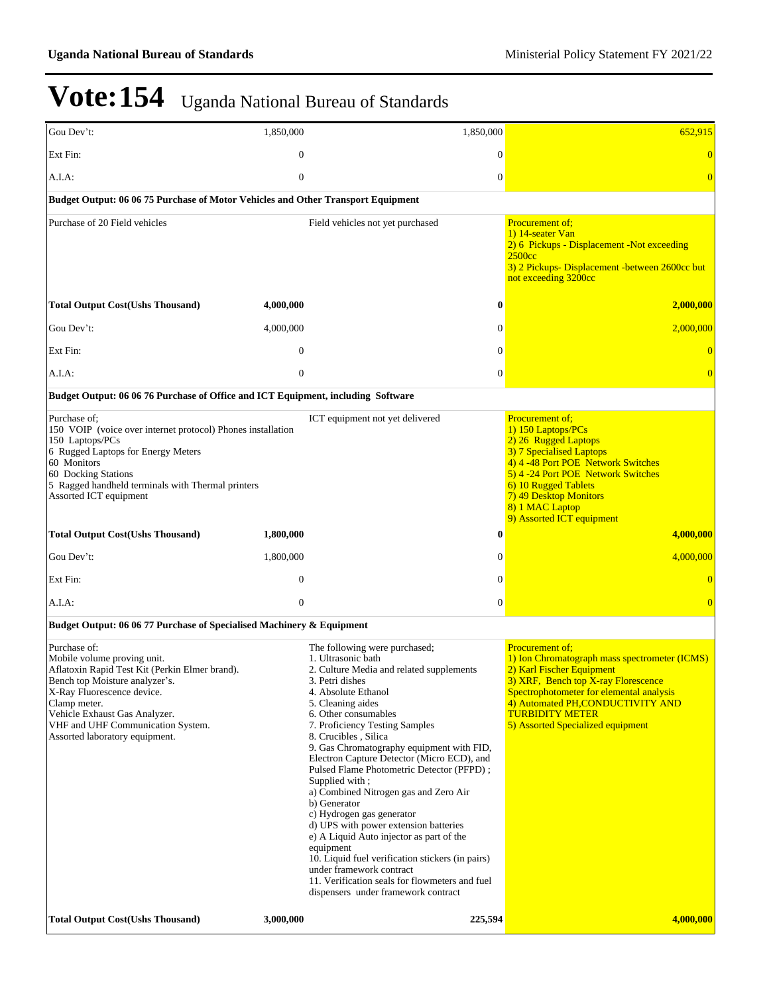| Gou Dev't:                                                                                                                                                                                                                                                                                           | 1,850,000                     | 1,850,000                                                                                                                                                                                                                                                                                                                                                                                                                                                                                                                                                                                                                                                                                                                                                                   |                              | 652,915                                                                                                                                                                                                                                                                                     |
|------------------------------------------------------------------------------------------------------------------------------------------------------------------------------------------------------------------------------------------------------------------------------------------------------|-------------------------------|-----------------------------------------------------------------------------------------------------------------------------------------------------------------------------------------------------------------------------------------------------------------------------------------------------------------------------------------------------------------------------------------------------------------------------------------------------------------------------------------------------------------------------------------------------------------------------------------------------------------------------------------------------------------------------------------------------------------------------------------------------------------------------|------------------------------|---------------------------------------------------------------------------------------------------------------------------------------------------------------------------------------------------------------------------------------------------------------------------------------------|
| Ext Fin:                                                                                                                                                                                                                                                                                             | $\mathbf{0}$                  |                                                                                                                                                                                                                                                                                                                                                                                                                                                                                                                                                                                                                                                                                                                                                                             | $\theta$                     | $\overline{0}$                                                                                                                                                                                                                                                                              |
| A.I.A:                                                                                                                                                                                                                                                                                               | $\overline{0}$                |                                                                                                                                                                                                                                                                                                                                                                                                                                                                                                                                                                                                                                                                                                                                                                             | $\mathbf{0}$                 | $\overline{0}$                                                                                                                                                                                                                                                                              |
| Budget Output: 06 06 75 Purchase of Motor Vehicles and Other Transport Equipment                                                                                                                                                                                                                     |                               |                                                                                                                                                                                                                                                                                                                                                                                                                                                                                                                                                                                                                                                                                                                                                                             |                              |                                                                                                                                                                                                                                                                                             |
| Purchase of 20 Field vehicles                                                                                                                                                                                                                                                                        |                               | Field vehicles not yet purchased                                                                                                                                                                                                                                                                                                                                                                                                                                                                                                                                                                                                                                                                                                                                            |                              | Procurement of:<br>1) 14-seater Van<br>2) 6 Pickups - Displacement -Not exceeding<br>2500cc<br>3) 2 Pickups- Displacement -between 2600cc but<br>not exceeding 3200cc                                                                                                                       |
| <b>Total Output Cost(Ushs Thousand)</b>                                                                                                                                                                                                                                                              | 4,000,000                     |                                                                                                                                                                                                                                                                                                                                                                                                                                                                                                                                                                                                                                                                                                                                                                             | $\bf{0}$                     | 2,000,000                                                                                                                                                                                                                                                                                   |
| Gou Dev't:                                                                                                                                                                                                                                                                                           | 4,000,000                     |                                                                                                                                                                                                                                                                                                                                                                                                                                                                                                                                                                                                                                                                                                                                                                             | $\theta$                     | 2,000,000                                                                                                                                                                                                                                                                                   |
| Ext Fin:                                                                                                                                                                                                                                                                                             | $\mathbf{0}$                  |                                                                                                                                                                                                                                                                                                                                                                                                                                                                                                                                                                                                                                                                                                                                                                             | $\Omega$                     | $\overline{0}$                                                                                                                                                                                                                                                                              |
| A.I.A:                                                                                                                                                                                                                                                                                               | $\overline{0}$                |                                                                                                                                                                                                                                                                                                                                                                                                                                                                                                                                                                                                                                                                                                                                                                             | $\mathbf{0}$                 | $\overline{0}$                                                                                                                                                                                                                                                                              |
| Budget Output: 06 06 76 Purchase of Office and ICT Equipment, including Software                                                                                                                                                                                                                     |                               |                                                                                                                                                                                                                                                                                                                                                                                                                                                                                                                                                                                                                                                                                                                                                                             |                              |                                                                                                                                                                                                                                                                                             |
| Purchase of:<br>150 VOIP (voice over internet protocol) Phones installation<br>150 Laptops/PCs<br>6 Rugged Laptops for Energy Meters<br>60 Monitors<br>60 Docking Stations<br>5 Ragged handheld terminals with Thermal printers<br>Assorted ICT equipment<br><b>Total Output Cost(Ushs Thousand)</b> | 1,800,000                     | ICT equipment not yet delivered                                                                                                                                                                                                                                                                                                                                                                                                                                                                                                                                                                                                                                                                                                                                             | $\bf{0}$                     | Procurement of;<br>1) 150 Laptops/PCs<br>2) 26 Rugged Laptops<br>3) 7 Specialised Laptops<br>4) 4 -48 Port POE Network Switches<br>5) 4 -24 Port POE Network Switches<br>6) 10 Rugged Tablets<br>7) 49 Desktop Monitors<br>8) 1 MAC Laptop<br>9) Assorted ICT equipment<br>4,000,000        |
|                                                                                                                                                                                                                                                                                                      |                               |                                                                                                                                                                                                                                                                                                                                                                                                                                                                                                                                                                                                                                                                                                                                                                             |                              |                                                                                                                                                                                                                                                                                             |
| Gou Dev't:<br>Ext Fin:                                                                                                                                                                                                                                                                               | 1,800,000<br>$\boldsymbol{0}$ |                                                                                                                                                                                                                                                                                                                                                                                                                                                                                                                                                                                                                                                                                                                                                                             | $\mathbf{0}$<br>$\mathbf{0}$ | 4,000,000<br>$\overline{0}$                                                                                                                                                                                                                                                                 |
| A.I.A:                                                                                                                                                                                                                                                                                               | $\boldsymbol{0}$              |                                                                                                                                                                                                                                                                                                                                                                                                                                                                                                                                                                                                                                                                                                                                                                             | $\mathbf{0}$                 | $\overline{0}$                                                                                                                                                                                                                                                                              |
| Budget Output: 06 06 77 Purchase of Specialised Machinery & Equipment                                                                                                                                                                                                                                |                               |                                                                                                                                                                                                                                                                                                                                                                                                                                                                                                                                                                                                                                                                                                                                                                             |                              |                                                                                                                                                                                                                                                                                             |
| Purchase of:<br>Mobile volume proving unit.<br>Aflatoxin Rapid Test Kit (Perkin Elmer brand).<br>Bench top Moisture analyzer's.<br>X-Ray Fluorescence device.<br>Clamp meter.<br>Vehicle Exhaust Gas Analyzer.<br>VHF and UHF Communication System.<br>Assorted laboratory equipment.                |                               | The following were purchased;<br>1. Ultrasonic bath<br>2. Culture Media and related supplements<br>3. Petri dishes<br>4. Absolute Ethanol<br>5. Cleaning aides<br>6. Other consumables<br>7. Proficiency Testing Samples<br>8. Crucibles, Silica<br>9. Gas Chromatography equipment with FID,<br>Electron Capture Detector (Micro ECD), and<br>Pulsed Flame Photometric Detector (PFPD):<br>Supplied with;<br>a) Combined Nitrogen gas and Zero Air<br>b) Generator<br>c) Hydrogen gas generator<br>d) UPS with power extension batteries<br>e) A Liquid Auto injector as part of the<br>equipment<br>10. Liquid fuel verification stickers (in pairs)<br>under framework contract<br>11. Verification seals for flowmeters and fuel<br>dispensers under framework contract |                              | <b>Procurement of:</b><br>1) Ion Chromatograph mass spectrometer (ICMS)<br>2) Karl Fischer Equipment<br>3) XRF, Bench top X-ray Florescence<br>Spectrophotometer for elemental analysis<br>4) Automated PH, CONDUCTIVITY AND<br><b>TURBIDITY METER</b><br>5) Assorted Specialized equipment |
| <b>Total Output Cost(Ushs Thousand)</b>                                                                                                                                                                                                                                                              | 3,000,000                     | 225,594                                                                                                                                                                                                                                                                                                                                                                                                                                                                                                                                                                                                                                                                                                                                                                     |                              | 4,000,000                                                                                                                                                                                                                                                                                   |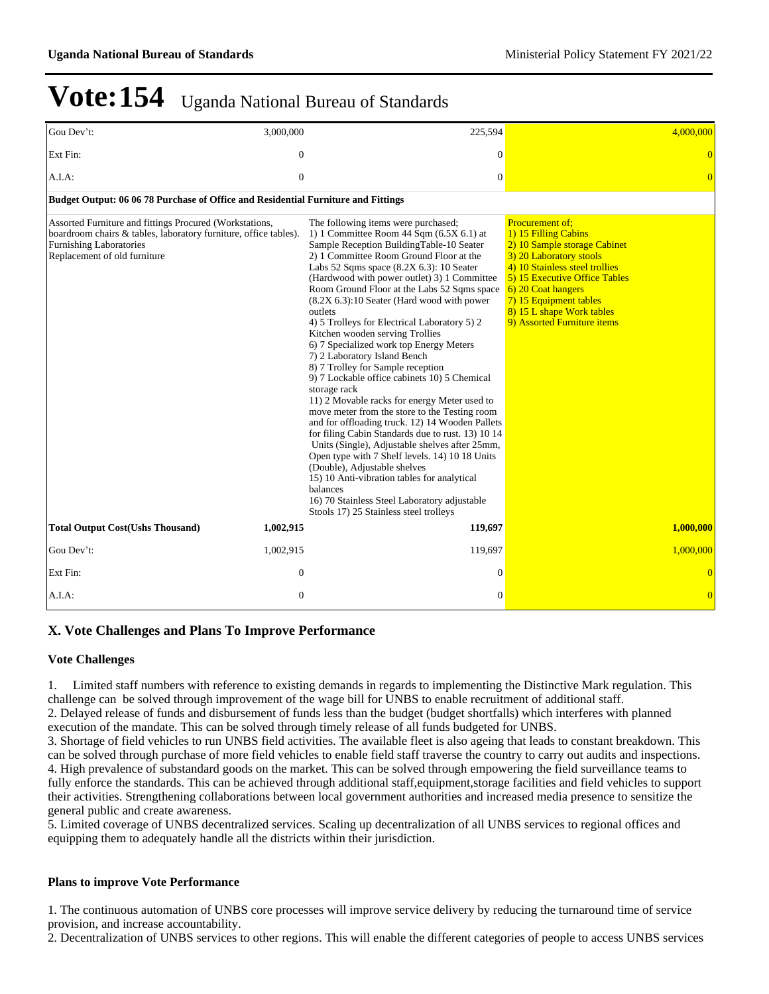| Gou Dev't:                                                                                                                                                                                    | 3,000,000        | 225,594                                                                                                                                                                                                                                                                                                                                                                                                                                                                                                                                                                                                                                                                                                                                                                                                                                                                                                                                                                                                                                                                                                                                                   | 4,000,000                                                                                                                                                                                                                                                                         |
|-----------------------------------------------------------------------------------------------------------------------------------------------------------------------------------------------|------------------|-----------------------------------------------------------------------------------------------------------------------------------------------------------------------------------------------------------------------------------------------------------------------------------------------------------------------------------------------------------------------------------------------------------------------------------------------------------------------------------------------------------------------------------------------------------------------------------------------------------------------------------------------------------------------------------------------------------------------------------------------------------------------------------------------------------------------------------------------------------------------------------------------------------------------------------------------------------------------------------------------------------------------------------------------------------------------------------------------------------------------------------------------------------|-----------------------------------------------------------------------------------------------------------------------------------------------------------------------------------------------------------------------------------------------------------------------------------|
| Ext Fin:                                                                                                                                                                                      | $\boldsymbol{0}$ | $\theta$                                                                                                                                                                                                                                                                                                                                                                                                                                                                                                                                                                                                                                                                                                                                                                                                                                                                                                                                                                                                                                                                                                                                                  | $\overline{0}$                                                                                                                                                                                                                                                                    |
| A.I.A:                                                                                                                                                                                        | $\overline{0}$   | $\overline{0}$                                                                                                                                                                                                                                                                                                                                                                                                                                                                                                                                                                                                                                                                                                                                                                                                                                                                                                                                                                                                                                                                                                                                            | $\overline{0}$                                                                                                                                                                                                                                                                    |
| Budget Output: 06 06 78 Purchase of Office and Residential Furniture and Fittings                                                                                                             |                  |                                                                                                                                                                                                                                                                                                                                                                                                                                                                                                                                                                                                                                                                                                                                                                                                                                                                                                                                                                                                                                                                                                                                                           |                                                                                                                                                                                                                                                                                   |
| Assorted Furniture and fittings Procured (Workstations,<br>boardroom chairs & tables, laboratory furniture, office tables).<br><b>Furnishing Laboratories</b><br>Replacement of old furniture |                  | The following items were purchased;<br>1) 1 Committee Room 44 Sqm $(6.5X 6.1)$ at<br>Sample Reception BuildingTable-10 Seater<br>2) 1 Committee Room Ground Floor at the<br>Labs 52 Sqms space $(8.2X\,6.3)$ : 10 Seater<br>(Hardwood with power outlet) 3) 1 Committee<br>Room Ground Floor at the Labs 52 Sqms space<br>$(8.2X\,6.3)$ :10 Seater (Hard wood with power)<br>outlets<br>4) 5 Trolleys for Electrical Laboratory 5) 2<br>Kitchen wooden serving Trollies<br>6) 7 Specialized work top Energy Meters<br>7) 2 Laboratory Island Bench<br>8) 7 Trolley for Sample reception<br>9) 7 Lockable office cabinets 10) 5 Chemical<br>storage rack<br>11) 2 Movable racks for energy Meter used to<br>move meter from the store to the Testing room<br>and for offloading truck. 12) 14 Wooden Pallets<br>for filing Cabin Standards due to rust. 13) 10 14<br>Units (Single), Adjustable shelves after 25mm,<br>Open type with 7 Shelf levels. 14) 10 18 Units<br>(Double), Adjustable shelves<br>15) 10 Anti-vibration tables for analytical<br>balances<br>16) 70 Stainless Steel Laboratory adjustable<br>Stools 17) 25 Stainless steel trolleys | Procurement of:<br>1) 15 Filling Cabins<br>2) 10 Sample storage Cabinet<br>3) 20 Laboratory stools<br>4) 10 Stainless steel trollies<br>5) 15 Executive Office Tables<br>6) 20 Coat hangers<br>7) 15 Equipment tables<br>8) 15 L shape Work tables<br>9) Assorted Furniture items |
| <b>Total Output Cost(Ushs Thousand)</b>                                                                                                                                                       | 1,002,915        | 119,697                                                                                                                                                                                                                                                                                                                                                                                                                                                                                                                                                                                                                                                                                                                                                                                                                                                                                                                                                                                                                                                                                                                                                   | 1,000,000                                                                                                                                                                                                                                                                         |
| Gou Dev't:                                                                                                                                                                                    | 1,002,915        | 119,697                                                                                                                                                                                                                                                                                                                                                                                                                                                                                                                                                                                                                                                                                                                                                                                                                                                                                                                                                                                                                                                                                                                                                   | 1,000,000                                                                                                                                                                                                                                                                         |
| Ext Fin:                                                                                                                                                                                      | $\overline{0}$   | $\Omega$                                                                                                                                                                                                                                                                                                                                                                                                                                                                                                                                                                                                                                                                                                                                                                                                                                                                                                                                                                                                                                                                                                                                                  | $\overline{0}$                                                                                                                                                                                                                                                                    |
| A.I.A:                                                                                                                                                                                        | $\boldsymbol{0}$ | $\mathbf{0}$                                                                                                                                                                                                                                                                                                                                                                                                                                                                                                                                                                                                                                                                                                                                                                                                                                                                                                                                                                                                                                                                                                                                              | $\overline{0}$                                                                                                                                                                                                                                                                    |

#### **X. Vote Challenges and Plans To Improve Performance**

#### **Vote Challenges**

1. Limited staff numbers with reference to existing demands in regards to implementing the Distinctive Mark regulation. This challenge can be solved through improvement of the wage bill for UNBS to enable recruitment of additional staff.

2. Delayed release of funds and disbursement of funds less than the budget (budget shortfalls) which interferes with planned execution of the mandate. This can be solved through timely release of all funds budgeted for UNBS.

3. Shortage of field vehicles to run UNBS field activities. The available fleet is also ageing that leads to constant breakdown. This can be solved through purchase of more field vehicles to enable field staff traverse the country to carry out audits and inspections. 4. High prevalence of substandard goods on the market. This can be solved through empowering the field surveillance teams to fully enforce the standards. This can be achieved through additional staff, equipment, storage facilities and field vehicles to support their activities. Strengthening collaborations between local government authorities and increased media presence to sensitize the general public and create awareness.

5. Limited coverage of UNBS decentralized services. Scaling up decentralization of all UNBS services to regional offices and equipping them to adequately handle all the districts within their jurisdiction.

#### **Plans to improve Vote Performance**

1. The continuous automation of UNBS core processes will improve service delivery by reducing the turnaround time of service provision, and increase accountability.

2. Decentralization of UNBS services to other regions. This will enable the different categories of people to access UNBS services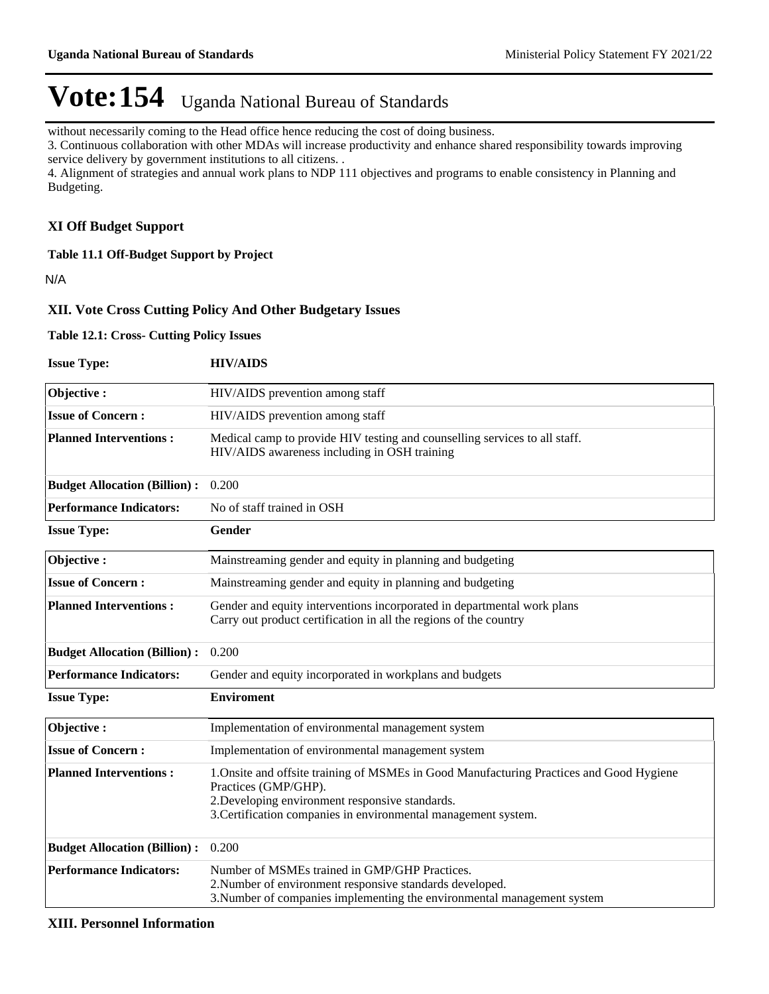without necessarily coming to the Head office hence reducing the cost of doing business.

3. Continuous collaboration with other MDAs will increase productivity and enhance shared responsibility towards improving service delivery by government institutions to all citizens. .

4. Alignment of strategies and annual work plans to NDP 111 objectives and programs to enable consistency in Planning and Budgeting.

#### **XI Off Budget Support**

**Table 11.1 Off-Budget Support by Project**

N/A

#### **XII. Vote Cross Cutting Policy And Other Budgetary Issues**

**Table 12.1: Cross- Cutting Policy Issues**

| <b>Issue Type:</b>                  | <b>HIV/AIDS</b>                                                                                                                                                                                                                       |  |  |  |  |  |
|-------------------------------------|---------------------------------------------------------------------------------------------------------------------------------------------------------------------------------------------------------------------------------------|--|--|--|--|--|
| Objective:                          | HIV/AIDS prevention among staff                                                                                                                                                                                                       |  |  |  |  |  |
| <b>Issue of Concern:</b>            | HIV/AIDS prevention among staff                                                                                                                                                                                                       |  |  |  |  |  |
| <b>Planned Interventions:</b>       | Medical camp to provide HIV testing and counselling services to all staff.<br>HIV/AIDS awareness including in OSH training                                                                                                            |  |  |  |  |  |
| <b>Budget Allocation (Billion):</b> | 0.200                                                                                                                                                                                                                                 |  |  |  |  |  |
| <b>Performance Indicators:</b>      | No of staff trained in OSH                                                                                                                                                                                                            |  |  |  |  |  |
| <b>Issue Type:</b>                  | Gender                                                                                                                                                                                                                                |  |  |  |  |  |
| Objective:                          | Mainstreaming gender and equity in planning and budgeting                                                                                                                                                                             |  |  |  |  |  |
| <b>Issue of Concern:</b>            | Mainstreaming gender and equity in planning and budgeting                                                                                                                                                                             |  |  |  |  |  |
| <b>Planned Interventions:</b>       | Gender and equity interventions incorporated in departmental work plans<br>Carry out product certification in all the regions of the country                                                                                          |  |  |  |  |  |
| <b>Budget Allocation (Billion):</b> | 0.200                                                                                                                                                                                                                                 |  |  |  |  |  |
| <b>Performance Indicators:</b>      | Gender and equity incorporated in workplans and budgets                                                                                                                                                                               |  |  |  |  |  |
| <b>Issue Type:</b>                  | <b>Enviroment</b>                                                                                                                                                                                                                     |  |  |  |  |  |
| Objective:                          | Implementation of environmental management system                                                                                                                                                                                     |  |  |  |  |  |
| <b>Issue of Concern:</b>            | Implementation of environmental management system                                                                                                                                                                                     |  |  |  |  |  |
| <b>Planned Interventions:</b>       | 1. Onsite and offsite training of MSMEs in Good Manufacturing Practices and Good Hygiene<br>Practices (GMP/GHP).<br>2. Developing environment responsive standards.<br>3. Certification companies in environmental management system. |  |  |  |  |  |
| <b>Budget Allocation (Billion):</b> | 0.200                                                                                                                                                                                                                                 |  |  |  |  |  |
| <b>Performance Indicators:</b>      | Number of MSMEs trained in GMP/GHP Practices.<br>2. Number of environment responsive standards developed.<br>3. Number of companies implementing the environmental management system                                                  |  |  |  |  |  |